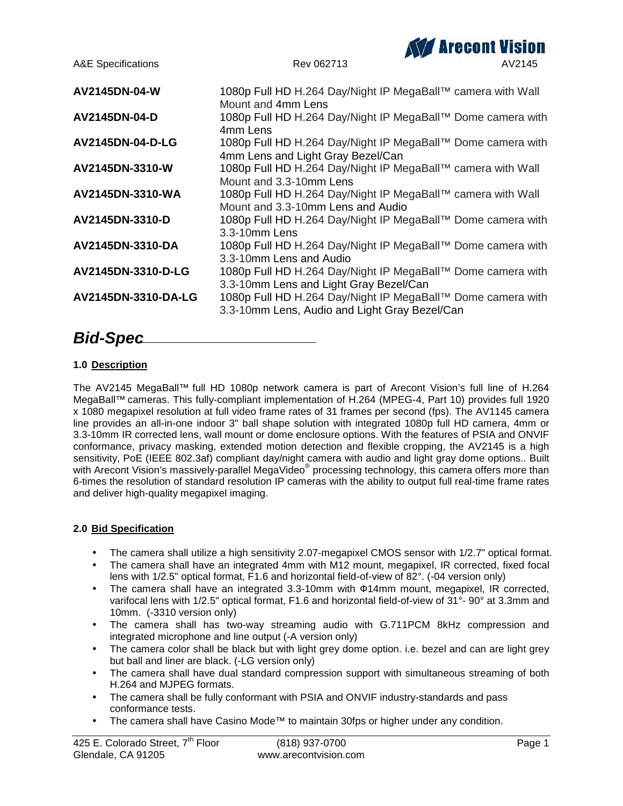

# *Bid-Spec*

# **1.0 Description**

The AV2145 MegaBall™ full HD 1080p network camera is part of Arecont Vision's full line of H.264 MegaBall™ cameras. This fully-compliant implementation of H.264 (MPEG-4, Part 10) provides full 1920 x 1080 megapixel resolution at full video frame rates of 31 frames per second (fps). The AV1145 camera line provides an all-in-one indoor 3" ball shape solution with integrated 1080p full HD camera, 4mm or 3.3-10mm IR corrected lens, wall mount or dome enclosure options. With the features of PSIA and ONVIF conformance, privacy masking, extended motion detection and flexible cropping, the AV2145 is a high sensitivity, PoE (IEEE 802.3af) compliant day/night camera with audio and light gray dome options.. Built with Arecont Vision's massively-parallel MegaVideo<sup>®</sup> processing technology, this camera offers more than 6-times the resolution of standard resolution IP cameras with the ability to output full real-time frame rates and deliver high-quality megapixel imaging.

# **2.0 Bid Specification**

- The camera shall utilize a high sensitivity 2.07-megapixel CMOS sensor with 1/2.7" optical format.
- The camera shall have an integrated 4mm with M12 mount, megapixel, IR corrected, fixed focal lens with 1/2.5" optical format, F1.6 and horizontal field-of-view of 82°. (-04 version only)
- The camera shall have an integrated 3.3-10mm with 14mm mount, megapixel, IR corrected, varifocal lens with 1/2.5" optical format, F1.6 and horizontal field-of-view of 31°- 90° at 3.3mm and 10mm. (-3310 version only)
- The camera shall has two-way streaming audio with G.711PCM 8kHz compression and integrated microphone and line output (-A version only)
- The camera color shall be black but with light grey dome option. i.e. bezel and can are light grey but ball and liner are black. (-LG version only)
- The camera shall have dual standard compression support with simultaneous streaming of both H.264 and MJPEG formats.
- The camera shall be fully conformant with PSIA and ONVIF industry-standards and pass conformance tests.
- The camera shall have Casino Mode™ to maintain 30fps or higher under any condition.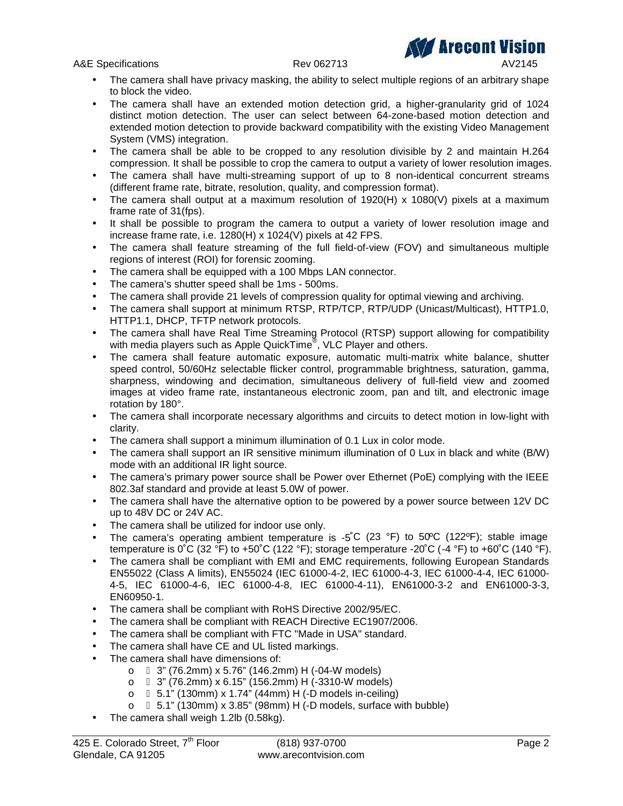A&E Specifications and the Rev 062713 AV2145

- The camera shall have privacy masking, the ability to select multiple regions of an arbitrary shape to block the video.
- The camera shall have an extended motion detection grid, a higher-granularity grid of 1024 distinct motion detection. The user can select between 64-zone-based motion detection and extended motion detection to provide backward compatibility with the existing Video Management System (VMS) integration.
- The camera shall be able to be cropped to any resolution divisible by 2 and maintain H.264 compression. It shall be possible to crop the camera to output a variety of lower resolution images.
- The camera shall have multi-streaming support of up to 8 non-identical concurrent streams (different frame rate, bitrate, resolution, quality, and compression format).
- The camera shall output at a maximum resolution of  $1920(H) \times 1080(V)$  pixels at a maximum frame rate of 31(fps).
- It shall be possible to program the camera to output a variety of lower resolution image and increase frame rate, i.e. 1280(H) x 1024(V) pixels at 42 FPS.
- The camera shall feature streaming of the full field-of-view (FOV) and simultaneous multiple regions of interest (ROI) for forensic zooming.
- The camera shall be equipped with a 100 Mbps LAN connector.
- The camera's shutter speed shall be 1ms 500ms.
- The camera shall provide 21 levels of compression quality for optimal viewing and archiving.
- The camera shall support at minimum RTSP, RTP/TCP, RTP/UDP (Unicast/Multicast), HTTP1.0, HTTP1.1, DHCP, TFTP network protocols.
- The camera shall have Real Time Streaming Protocol (RTSP) support allowing for compatibility with media players such as Apple QuickTime® , VLC Player and others.
- The camera shall feature automatic exposure, automatic multi-matrix white balance, shutter speed control, 50/60Hz selectable flicker control, programmable brightness, saturation, gamma, sharpness, windowing and decimation, simultaneous delivery of full-field view and zoomed images at video frame rate, instantaneous electronic zoom, pan and tilt, and electronic image rotation by 180°.
- The camera shall incorporate necessary algorithms and circuits to detect motion in low-light with clarity.
- The camera shall support a minimum illumination of 0.1 Lux in color mode.
- The camera shall support an IR sensitive minimum illumination of 0 Lux in black and white (B/W) mode with an additional IR light source.
- The camera's primary power source shall be Power over Ethernet (PoE) complying with the IEEE 802.3af standard and provide at least 5.0W of power.
- The camera shall have the alternative option to be powered by a power source between 12V DC up to 48V DC or 24V AC.
- The camera shall be utilized for indoor use only.
- The camera's operating ambient temperature is  $-5^{\circ}C$  (23 °F) to 50°C (122°F); stable image temperature is 0°C (32 °F) to +50°C (122 °F); storage temperature -20°C (-4 °F) to +60°C (140 °F).
- The camera shall be compliant with EMI and EMC requirements, following European Standards EN55022 (Class A limits), EN55024 (IEC 61000-4-2, IEC 61000-4-3, IEC 61000-4-4, IEC 61000- 4-5, IEC 61000-4-6, IEC 61000-4-8, IEC 61000-4-11), EN61000-3-2 and EN61000-3-3, EN60950-1.
- The camera shall be compliant with RoHS Directive 2002/95/EC.
- The camera shall be compliant with REACH Directive EC1907/2006.
- The camera shall be compliant with FTC "Made in USA" standard.
- The camera shall have CE and UL listed markings.
- The camera shall have dimensions of:
	- o 3" (76.2mm) x 5.76" (146.2mm) H (-04-W models)
	- $\circ$  3" (76.2mm) x 6.15" (156.2mm) H (-3310-W models)
	- o 5.1" (130mm) x 1.74" (44mm) H (-D models in-ceiling)
	- o 5.1" (130mm) x 3.85" (98mm) H (-D models, surface with bubble)
- The camera shall weigh 1.2lb (0.58kg).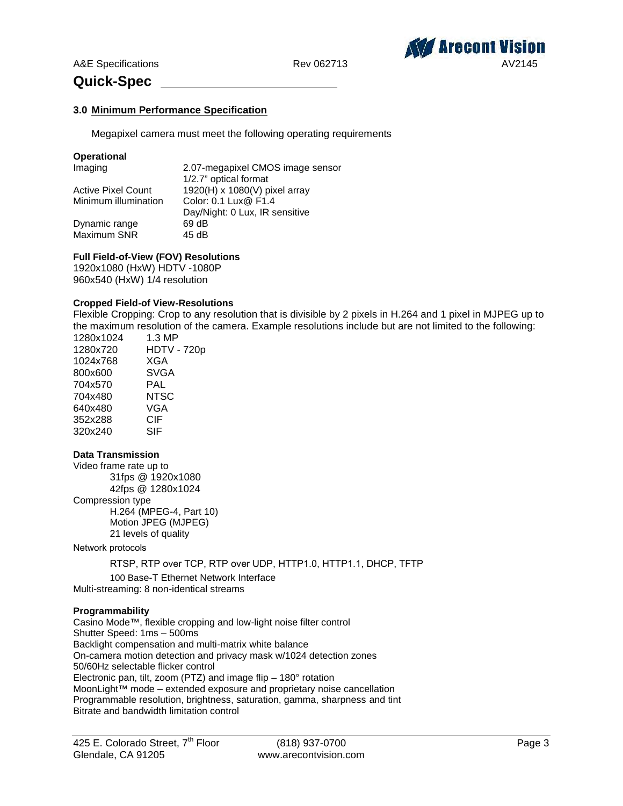

# **Quick-Spec**

# **3.0 Minimum Performance Specification**

Megapixel camera must meet the following operating requirements

#### **Operational**

| Imaging                   | 2.07-megapixel CMOS image sensor |
|---------------------------|----------------------------------|
|                           | 1/2.7" optical format            |
| <b>Active Pixel Count</b> | 1920(H) x 1080(V) pixel array    |
| Minimum illumination      | Color: 0.1 Lux@ F1.4             |
|                           | Day/Night: 0 Lux, IR sensitive   |
| Dynamic range             | 69 dB                            |
| Maximum SNR               | 45 dB                            |

# **Full Field-of-View (FOV) Resolutions**

1920x1080 (HxW) HDTV -1080P 960x540 (HxW) 1/4 resolution

#### **Cropped Field-of View-Resolutions**

Flexible Cropping: Crop to any resolution that is divisible by 2 pixels in H.264 and 1 pixel in MJPEG up to the maximum resolution of the camera. Example resolutions include but are not limited to the following:

| 1280x1024 | 1.3 MP             |
|-----------|--------------------|
| 1280x720  | <b>HDTV - 720p</b> |
| 1024x768  | <b>XGA</b>         |
| 800x600   | <b>SVGA</b>        |
| 704x570   | PAL                |
| 704x480   | NTSC               |
| 640x480   | VGA                |
| 352x288   | CIF                |
| 320x240   | SIF                |

#### **Data Transmission**

Video frame rate up to 31fps @ 1920x1080 42fps @ 1280x1024 Compression type H.264 (MPEG-4, Part 10) Motion JPEG (MJPEG)

21 levels of quality

Network protocols

RTSP, RTP over TCP, RTP over UDP, HTTP1.0, HTTP1.1, DHCP, TFTP

100 Base-T Ethernet Network Interface Multi-streaming: 8 non-identical streams

# **Programmability**

Casino Mode™, flexible cropping and low-light noise filter control Shutter Speed: 1ms – 500ms Backlight compensation and multi-matrix white balance On-camera motion detection and privacy mask w/1024 detection zones 50/60Hz selectable flicker control Electronic pan, tilt, zoom (PTZ) and image flip – 180° rotation MoonLight™ mode – extended exposure and proprietary noise cancellation Programmable resolution, brightness, saturation, gamma, sharpness and tint Bitrate and bandwidth limitation control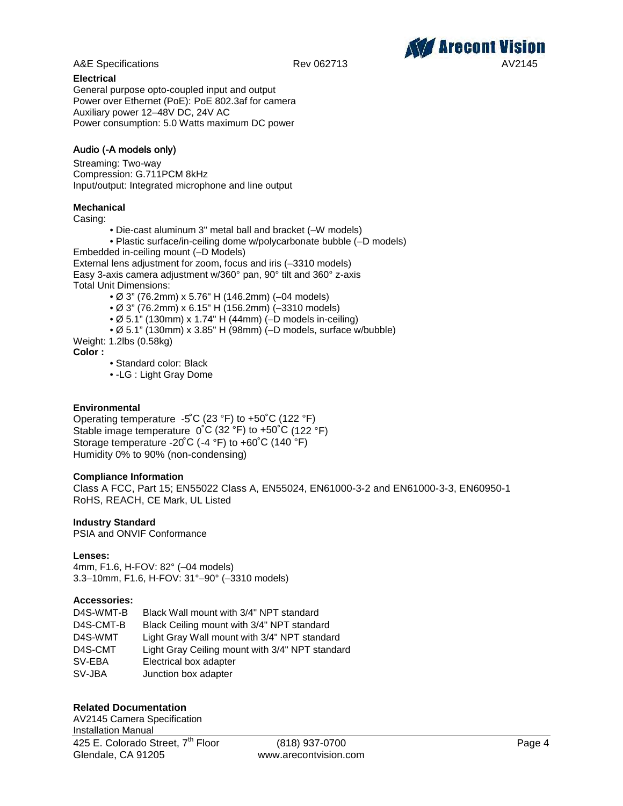

# **Electrical**

General purpose opto-coupled input and output Power over Ethernet (PoE): PoE 802.3af for camera Auxiliary power 12–48V DC, 24V AC Power consumption: 5.0 Watts maximum DC power

# **Audio (-A models only)**

Streaming: Two-way Compression: G.711PCM 8kHz Input/output: Integrated microphone and line output

# **Mechanical**

Casing:

- Die-cast aluminum 3" metal ball and bracket (–W models)
- Plastic surface/in-ceiling dome w/polycarbonate bubble (–D models)

Embedded in-ceiling mount (–D Models)

External lens adjustment for zoom, focus and iris (–3310 models) Easy 3-axis camera adjustment w/360° pan, 90° tilt and 360° z-axis Total Unit Dimensions:

- Ø 3" (76.2mm) x 5.76" H (146.2mm) (–04 models)
- Ø 3" (76.2mm) x 6.15" H (156.2mm) (–3310 models)
- Ø 5.1" (130mm) x 1.74" H (44mm) (–D models in-ceiling)
- Ø 5.1" (130mm) x 3.85" H (98mm) (–D models, surface w/bubble)

Weight: 1.2lbs (0.58kg)

**Color :**

- Standard color: Black
- -LG : Light Gray Dome

# **Environmental**

Operating temperature -5˚C (23 °F) to +50˚C (122 °F) Stable image temperature 0˚C (32 °F) to +50˚C (122 °F) Storage temperature -20˚C (-4 °F) to +60˚C (140 °F) Humidity 0% to 90% (non-condensing)

# **Compliance Information**

Class A FCC, Part 15; EN55022 Class A, EN55024, EN61000-3-2 and EN61000-3-3, EN60950-1 RoHS, REACH, CE Mark, UL Listed

# **Industry Standard**

PSIA and ONVIF Conformance

# **Lenses:**

4mm, F1.6, H-FOV: 82° (–04 models) 3.3–10mm, F1.6, H-FOV: 31°–90° (–3310 models)

# **Accessories:**

| D4S-WMT-B | Black Wall mount with 3/4" NPT standard         |
|-----------|-------------------------------------------------|
| D4S-CMT-B | Black Ceiling mount with 3/4" NPT standard      |
| D4S-WMT   | Light Gray Wall mount with 3/4" NPT standard    |
| D4S-CMT   | Light Gray Ceiling mount with 3/4" NPT standard |
| SV-EBA    | Electrical box adapter                          |
| SV-JBA    | Junction box adapter                            |

# **Related Documentation**

425 E. Colorado Street, 7<sup>th</sup> Floor (818) 937-0700 **Page 4** Glendale, CA 91205 www.arecontvision.com AV2145 Camera Specification Installation Manual